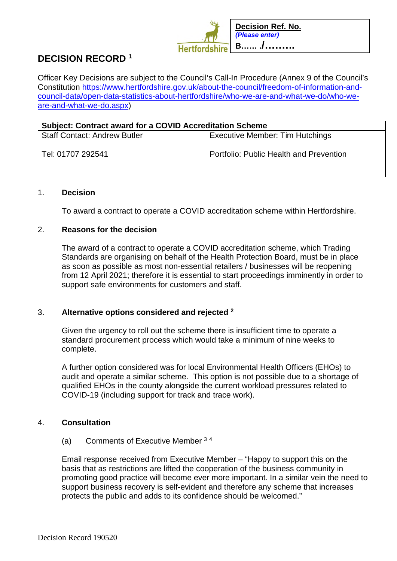

# **DECISION RECORD <sup>1</sup>**

Officer Key Decisions are subject to the Council's Call-In Procedure (Annex 9 of the Council's Constitution https://www.hertfordshire.gov.uk/about-the-council/freedom-of-information-andcouncil-data/open-data-statistics-about-hertfordshire/who-we-are-and-what-we-do/who-weare-and-what-we-do.aspx)

| <b>Subject: Contract award for a COVID Accreditation Scheme</b> |                                         |
|-----------------------------------------------------------------|-----------------------------------------|
| Staff Contact: Andrew Butler                                    | Executive Member: Tim Hutchings         |
| l Tel: 01707 292541                                             | Portfolio: Public Health and Prevention |

### 1. **Decision**

To award a contract to operate a COVID accreditation scheme within Hertfordshire.

### 2. **Reasons for the decision**

The award of a contract to operate a COVID accreditation scheme, which Trading Standards are organising on behalf of the Health Protection Board, must be in place as soon as possible as most non-essential retailers / businesses will be reopening from 12 April 2021; therefore it is essential to start proceedings imminently in order to support safe environments for customers and staff.

# 3. **Alternative options considered and rejected <sup>2</sup>**

Given the urgency to roll out the scheme there is insufficient time to operate a standard procurement process which would take a minimum of nine weeks to complete.

A further option considered was for local Environmental Health Officers (EHOs) to audit and operate a similar scheme. This option is not possible due to a shortage of qualified EHOs in the county alongside the current workload pressures related to COVID-19 (including support for track and trace work).

## 4. **Consultation**

#### (a) Comments of Executive Member <sup>3</sup> <sup>4</sup>

Email response received from Executive Member – "Happy to support this on the basis that as restrictions are lifted the cooperation of the business community in promoting good practice will become ever more important. In a similar vein the need to support business recovery is self-evident and therefore any scheme that increases protects the public and adds to its confidence should be welcomed."